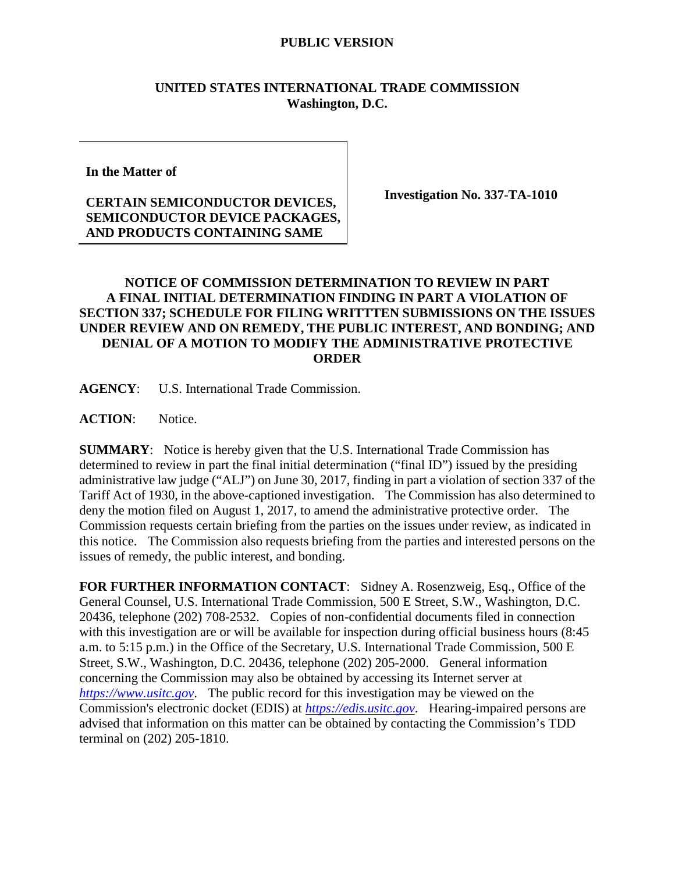## **UNITED STATES INTERNATIONAL TRADE COMMISSION Washington, D.C.**

**In the Matter of** 

# **CERTAIN SEMICONDUCTOR DEVICES, SEMICONDUCTOR DEVICE PACKAGES, AND PRODUCTS CONTAINING SAME**

**Investigation No. 337-TA-1010**

# **NOTICE OF COMMISSION DETERMINATION TO REVIEW IN PART A FINAL INITIAL DETERMINATION FINDING IN PART A VIOLATION OF SECTION 337; SCHEDULE FOR FILING WRITTTEN SUBMISSIONS ON THE ISSUES UNDER REVIEW AND ON REMEDY, THE PUBLIC INTEREST, AND BONDING; AND DENIAL OF A MOTION TO MODIFY THE ADMINISTRATIVE PROTECTIVE ORDER**

**AGENCY**: U.S. International Trade Commission.

**ACTION**: Notice.

**SUMMARY**: Notice is hereby given that the U.S. International Trade Commission has determined to review in part the final initial determination ("final ID") issued by the presiding administrative law judge ("ALJ") on June 30, 2017, finding in part a violation of section 337 of the Tariff Act of 1930, in the above-captioned investigation. The Commission has also determined to deny the motion filed on August 1, 2017, to amend the administrative protective order. The Commission requests certain briefing from the parties on the issues under review, as indicated in this notice. The Commission also requests briefing from the parties and interested persons on the issues of remedy, the public interest, and bonding.

**FOR FURTHER INFORMATION CONTACT**: Sidney A. Rosenzweig, Esq., Office of the General Counsel, U.S. International Trade Commission, 500 E Street, S.W., Washington, D.C. 20436, telephone (202) 708-2532. Copies of non-confidential documents filed in connection with this investigation are or will be available for inspection during official business hours  $(8:45)$ a.m. to 5:15 p.m.) in the Office of the Secretary, U.S. International Trade Commission, 500 E Street, S.W., Washington, D.C. 20436, telephone (202) 205-2000. General information concerning the Commission may also be obtained by accessing its Internet server at *[https://www.usitc.gov](https://www.usitc.gov/)*. The public record for this investigation may be viewed on the Commission's electronic docket (EDIS) at *[https://edis.usitc.gov](https://edis.usitc.gov/)*. Hearing-impaired persons are advised that information on this matter can be obtained by contacting the Commission's TDD terminal on (202) 205-1810.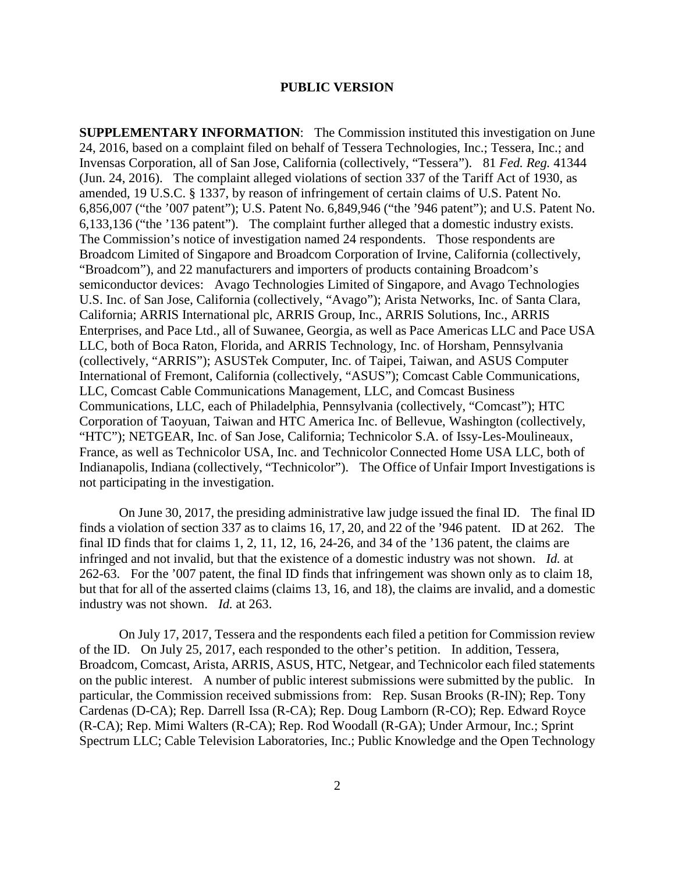**SUPPLEMENTARY INFORMATION**: The Commission instituted this investigation on June 24, 2016, based on a complaint filed on behalf of Tessera Technologies, Inc.; Tessera, Inc.; and Invensas Corporation, all of San Jose, California (collectively, "Tessera"). 81 *Fed. Reg.* 41344 (Jun. 24, 2016). The complaint alleged violations of section 337 of the Tariff Act of 1930, as amended, 19 U.S.C. § 1337, by reason of infringement of certain claims of U.S. Patent No. 6,856,007 ("the '007 patent"); U.S. Patent No. 6,849,946 ("the '946 patent"); and U.S. Patent No. 6,133,136 ("the '136 patent"). The complaint further alleged that a domestic industry exists. The Commission's notice of investigation named 24 respondents. Those respondents are Broadcom Limited of Singapore and Broadcom Corporation of Irvine, California (collectively, "Broadcom"), and 22 manufacturers and importers of products containing Broadcom's semiconductor devices: Avago Technologies Limited of Singapore, and Avago Technologies U.S. Inc. of San Jose, California (collectively, "Avago"); Arista Networks, Inc. of Santa Clara, California; ARRIS International plc, ARRIS Group, Inc., ARRIS Solutions, Inc., ARRIS Enterprises, and Pace Ltd., all of Suwanee, Georgia, as well as Pace Americas LLC and Pace USA LLC, both of Boca Raton, Florida, and ARRIS Technology, Inc. of Horsham, Pennsylvania (collectively, "ARRIS"); ASUSTek Computer, Inc. of Taipei, Taiwan, and ASUS Computer International of Fremont, California (collectively, "ASUS"); Comcast Cable Communications, LLC, Comcast Cable Communications Management, LLC, and Comcast Business Communications, LLC, each of Philadelphia, Pennsylvania (collectively, "Comcast"); HTC Corporation of Taoyuan, Taiwan and HTC America Inc. of Bellevue, Washington (collectively, "HTC"); NETGEAR, Inc. of San Jose, California; Technicolor S.A. of Issy-Les-Moulineaux, France, as well as Technicolor USA, Inc. and Technicolor Connected Home USA LLC, both of Indianapolis, Indiana (collectively, "Technicolor"). The Office of Unfair Import Investigations is not participating in the investigation.

On June 30, 2017, the presiding administrative law judge issued the final ID. The final ID finds a violation of section 337 as to claims 16, 17, 20, and 22 of the '946 patent. ID at 262. The final ID finds that for claims 1, 2, 11, 12, 16, 24-26, and 34 of the '136 patent, the claims are infringed and not invalid, but that the existence of a domestic industry was not shown. *Id.* at 262-63. For the '007 patent, the final ID finds that infringement was shown only as to claim 18, but that for all of the asserted claims (claims 13, 16, and 18), the claims are invalid, and a domestic industry was not shown. *Id.* at 263.

On July 17, 2017, Tessera and the respondents each filed a petition for Commission review of the ID. On July 25, 2017, each responded to the other's petition. In addition, Tessera, Broadcom, Comcast, Arista, ARRIS, ASUS, HTC, Netgear, and Technicolor each filed statements on the public interest. A number of public interest submissions were submitted by the public. In particular, the Commission received submissions from: Rep. Susan Brooks (R-IN); Rep. Tony Cardenas (D-CA); Rep. Darrell Issa (R-CA); Rep. Doug Lamborn (R-CO); Rep. Edward Royce (R-CA); Rep. Mimi Walters (R-CA); Rep. Rod Woodall (R-GA); Under Armour, Inc.; Sprint Spectrum LLC; Cable Television Laboratories, Inc.; Public Knowledge and the Open Technology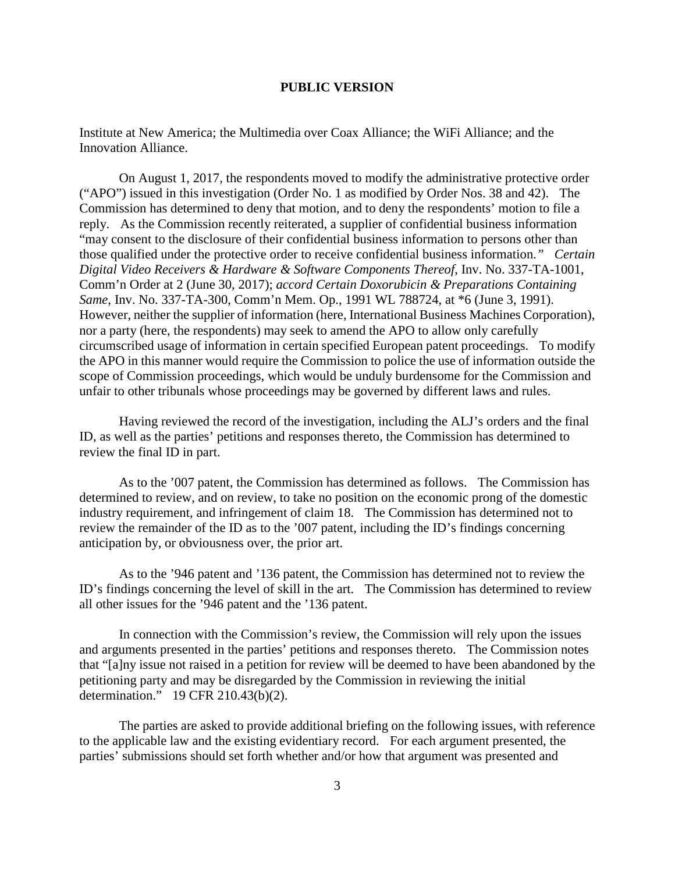Institute at New America; the Multimedia over Coax Alliance; the WiFi Alliance; and the Innovation Alliance.

On August 1, 2017, the respondents moved to modify the administrative protective order ("APO") issued in this investigation (Order No. 1 as modified by Order Nos. 38 and 42). The Commission has determined to deny that motion, and to deny the respondents' motion to file a reply. As the Commission recently reiterated, a supplier of confidential business information "may consent to the disclosure of their confidential business information to persons other than those qualified under the protective order to receive confidential business information.*" Certain Digital Video Receivers & Hardware & Software Components Thereof*, Inv. No. 337-TA-1001, Comm'n Order at 2 (June 30, 2017); *accord Certain Doxorubicin & Preparations Containing Same*, Inv. No. 337-TA-300, Comm'n Mem. Op., 1991 WL 788724, at \*6 (June 3, 1991). However, neither the supplier of information (here, International Business Machines Corporation), nor a party (here, the respondents) may seek to amend the APO to allow only carefully circumscribed usage of information in certain specified European patent proceedings. To modify the APO in this manner would require the Commission to police the use of information outside the scope of Commission proceedings, which would be unduly burdensome for the Commission and unfair to other tribunals whose proceedings may be governed by different laws and rules.

Having reviewed the record of the investigation, including the ALJ's orders and the final ID, as well as the parties' petitions and responses thereto, the Commission has determined to review the final ID in part.

As to the '007 patent, the Commission has determined as follows. The Commission has determined to review, and on review, to take no position on the economic prong of the domestic industry requirement, and infringement of claim 18. The Commission has determined not to review the remainder of the ID as to the '007 patent, including the ID's findings concerning anticipation by, or obviousness over, the prior art.

As to the '946 patent and '136 patent, the Commission has determined not to review the ID's findings concerning the level of skill in the art. The Commission has determined to review all other issues for the '946 patent and the '136 patent.

In connection with the Commission's review, the Commission will rely upon the issues and arguments presented in the parties' petitions and responses thereto. The Commission notes that "[a]ny issue not raised in a petition for review will be deemed to have been abandoned by the petitioning party and may be disregarded by the Commission in reviewing the initial determination." 19 CFR 210.43(b)(2).

The parties are asked to provide additional briefing on the following issues, with reference to the applicable law and the existing evidentiary record. For each argument presented, the parties' submissions should set forth whether and/or how that argument was presented and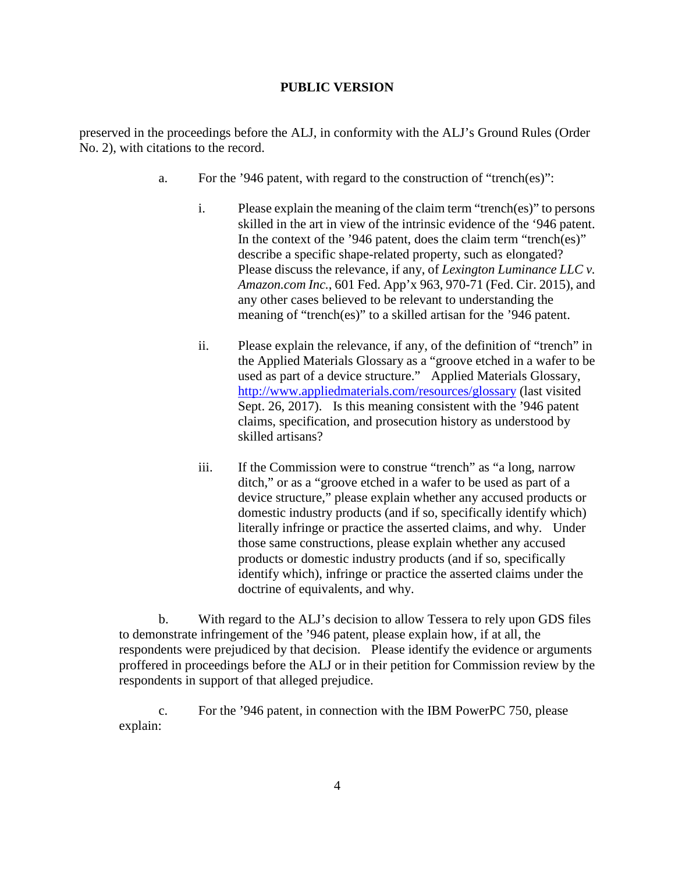preserved in the proceedings before the ALJ, in conformity with the ALJ's Ground Rules (Order No. 2), with citations to the record.

- a. For the '946 patent, with regard to the construction of "trench(es)":
	- i. Please explain the meaning of the claim term "trench(es)" to persons skilled in the art in view of the intrinsic evidence of the '946 patent. In the context of the '946 patent, does the claim term "trench(es)" describe a specific shape-related property, such as elongated? Please discuss the relevance, if any, of *Lexington Luminance LLC v. Amazon.com Inc.*, 601 Fed. App'x 963, 970-71 (Fed. Cir. 2015), and any other cases believed to be relevant to understanding the meaning of "trench(es)" to a skilled artisan for the '946 patent.
	- ii. Please explain the relevance, if any, of the definition of "trench" in the Applied Materials Glossary as a "groove etched in a wafer to be used as part of a device structure." Applied Materials Glossary, <http://www.appliedmaterials.com/resources/glossary> (last visited Sept. 26, 2017). Is this meaning consistent with the '946 patent claims, specification, and prosecution history as understood by skilled artisans?
	- iii. If the Commission were to construe "trench" as "a long, narrow ditch," or as a "groove etched in a wafer to be used as part of a device structure," please explain whether any accused products or domestic industry products (and if so, specifically identify which) literally infringe or practice the asserted claims, and why. Under those same constructions, please explain whether any accused products or domestic industry products (and if so, specifically identify which), infringe or practice the asserted claims under the doctrine of equivalents, and why.

b. With regard to the ALJ's decision to allow Tessera to rely upon GDS files to demonstrate infringement of the '946 patent, please explain how, if at all, the respondents were prejudiced by that decision. Please identify the evidence or arguments proffered in proceedings before the ALJ or in their petition for Commission review by the respondents in support of that alleged prejudice.

c. For the '946 patent, in connection with the IBM PowerPC 750, please explain: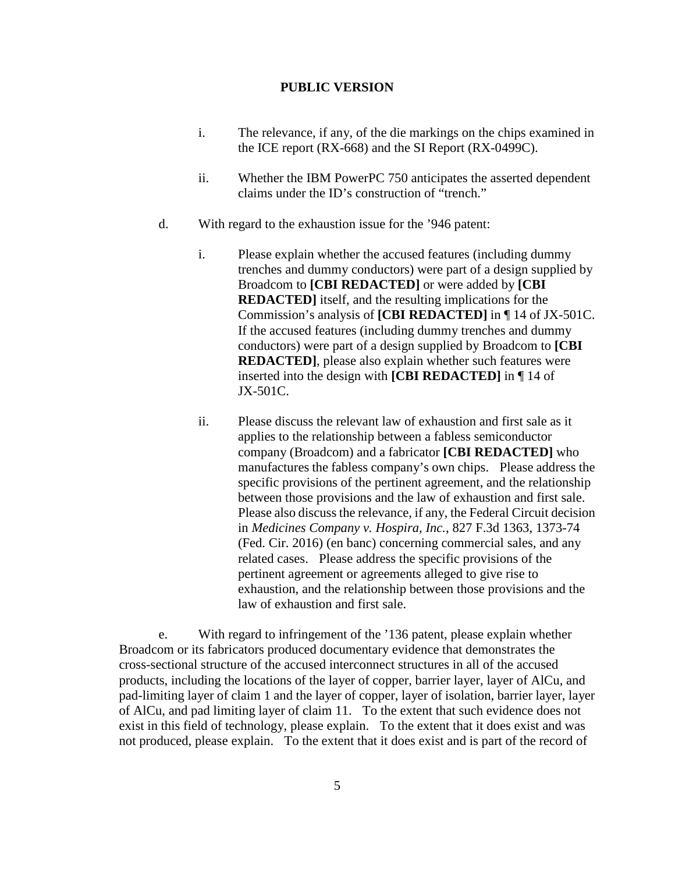- i. The relevance, if any, of the die markings on the chips examined in the ICE report (RX-668) and the SI Report (RX-0499C).
- ii. Whether the IBM PowerPC 750 anticipates the asserted dependent claims under the ID's construction of "trench."
- d. With regard to the exhaustion issue for the '946 patent:
	- i. Please explain whether the accused features (including dummy trenches and dummy conductors) were part of a design supplied by Broadcom to **[CBI REDACTED]** or were added by **[CBI REDACTED]** itself, and the resulting implications for the Commission's analysis of **[CBI REDACTED]** in ¶ 14 of JX-501C. If the accused features (including dummy trenches and dummy conductors) were part of a design supplied by Broadcom to **[CBI REDACTED]**, please also explain whether such features were inserted into the design with **[CBI REDACTED]** in ¶ 14 of JX-501C.
	- ii. Please discuss the relevant law of exhaustion and first sale as it applies to the relationship between a fabless semiconductor company (Broadcom) and a fabricator **[CBI REDACTED]** who manufactures the fabless company's own chips. Please address the specific provisions of the pertinent agreement, and the relationship between those provisions and the law of exhaustion and first sale. Please also discuss the relevance, if any, the Federal Circuit decision in *Medicines Company v. Hospira, Inc.*, 827 F.3d 1363, 1373-74 (Fed. Cir. 2016) (en banc) concerning commercial sales, and any related cases. Please address the specific provisions of the pertinent agreement or agreements alleged to give rise to exhaustion, and the relationship between those provisions and the law of exhaustion and first sale.

e. With regard to infringement of the '136 patent, please explain whether Broadcom or its fabricators produced documentary evidence that demonstrates the cross-sectional structure of the accused interconnect structures in all of the accused products, including the locations of the layer of copper, barrier layer, layer of AlCu, and pad-limiting layer of claim 1 and the layer of copper, layer of isolation, barrier layer, layer of AlCu, and pad limiting layer of claim 11. To the extent that such evidence does not exist in this field of technology, please explain. To the extent that it does exist and was not produced, please explain. To the extent that it does exist and is part of the record of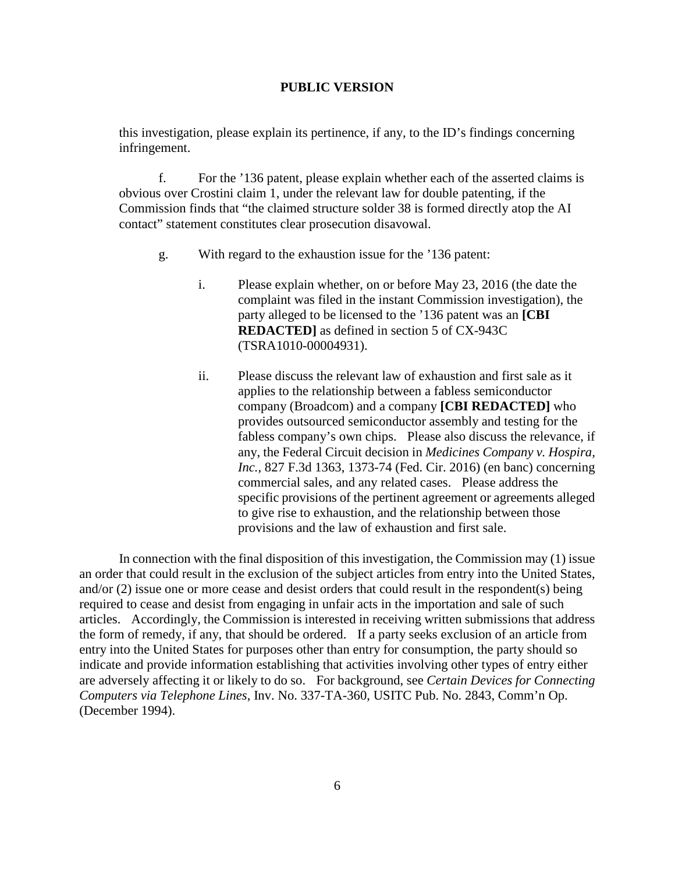this investigation, please explain its pertinence, if any, to the ID's findings concerning infringement.

f. For the '136 patent, please explain whether each of the asserted claims is obvious over Crostini claim 1, under the relevant law for double patenting, if the Commission finds that "the claimed structure solder 38 is formed directly atop the AI contact" statement constitutes clear prosecution disavowal.

- g. With regard to the exhaustion issue for the '136 patent:
	- i. Please explain whether, on or before May 23, 2016 (the date the complaint was filed in the instant Commission investigation), the party alleged to be licensed to the '136 patent was an **[CBI REDACTED]** as defined in section 5 of CX-943C (TSRA1010-00004931).
	- ii. Please discuss the relevant law of exhaustion and first sale as it applies to the relationship between a fabless semiconductor company (Broadcom) and a company **[CBI REDACTED]** who provides outsourced semiconductor assembly and testing for the fabless company's own chips. Please also discuss the relevance, if any, the Federal Circuit decision in *Medicines Company v. Hospira, Inc.*, 827 F.3d 1363, 1373-74 (Fed. Cir. 2016) (en banc) concerning commercial sales, and any related cases. Please address the specific provisions of the pertinent agreement or agreements alleged to give rise to exhaustion, and the relationship between those provisions and the law of exhaustion and first sale.

In connection with the final disposition of this investigation, the Commission may (1) issue an order that could result in the exclusion of the subject articles from entry into the United States, and/or (2) issue one or more cease and desist orders that could result in the respondent(s) being required to cease and desist from engaging in unfair acts in the importation and sale of such articles. Accordingly, the Commission is interested in receiving written submissions that address the form of remedy, if any, that should be ordered. If a party seeks exclusion of an article from entry into the United States for purposes other than entry for consumption, the party should so indicate and provide information establishing that activities involving other types of entry either are adversely affecting it or likely to do so. For background, see *Certain Devices for Connecting Computers via Telephone Lines*, Inv. No. 337-TA-360, USITC Pub. No. 2843, Comm'n Op. (December 1994).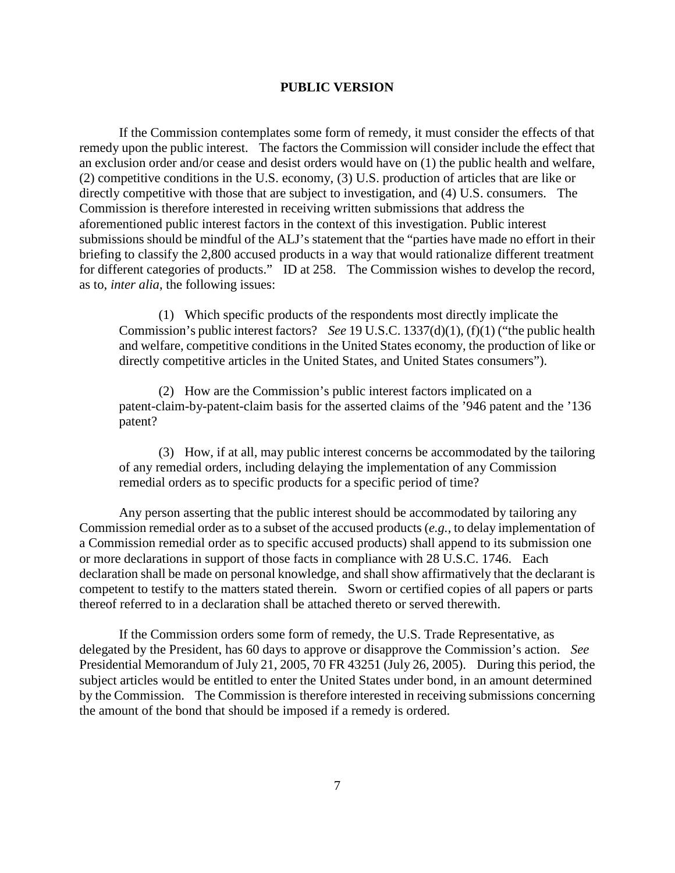If the Commission contemplates some form of remedy, it must consider the effects of that remedy upon the public interest. The factors the Commission will consider include the effect that an exclusion order and/or cease and desist orders would have on (1) the public health and welfare, (2) competitive conditions in the U.S. economy, (3) U.S. production of articles that are like or directly competitive with those that are subject to investigation, and (4) U.S. consumers. The Commission is therefore interested in receiving written submissions that address the aforementioned public interest factors in the context of this investigation. Public interest submissions should be mindful of the ALJ's statement that the "parties have made no effort in their briefing to classify the 2,800 accused products in a way that would rationalize different treatment for different categories of products." ID at 258. The Commission wishes to develop the record, as to, *inter alia*, the following issues:

(1) Which specific products of the respondents most directly implicate the Commission's public interest factors? *See* 19 U.S.C. 1337(d)(1), (f)(1) ("the public health and welfare, competitive conditions in the United States economy, the production of like or directly competitive articles in the United States, and United States consumers").

(2) How are the Commission's public interest factors implicated on a patent-claim-by-patent-claim basis for the asserted claims of the '946 patent and the '136 patent?

(3) How, if at all, may public interest concerns be accommodated by the tailoring of any remedial orders, including delaying the implementation of any Commission remedial orders as to specific products for a specific period of time?

Any person asserting that the public interest should be accommodated by tailoring any Commission remedial order as to a subset of the accused products (*e.g.*, to delay implementation of a Commission remedial order as to specific accused products) shall append to its submission one or more declarations in support of those facts in compliance with 28 U.S.C. 1746. Each declaration shall be made on personal knowledge, and shall show affirmatively that the declarant is competent to testify to the matters stated therein. Sworn or certified copies of all papers or parts thereof referred to in a declaration shall be attached thereto or served therewith.

If the Commission orders some form of remedy, the U.S. Trade Representative, as delegated by the President, has 60 days to approve or disapprove the Commission's action. *See*  Presidential Memorandum of July 21, 2005, 70 FR 43251 (July 26, 2005). During this period, the subject articles would be entitled to enter the United States under bond, in an amount determined by the Commission. The Commission is therefore interested in receiving submissions concerning the amount of the bond that should be imposed if a remedy is ordered.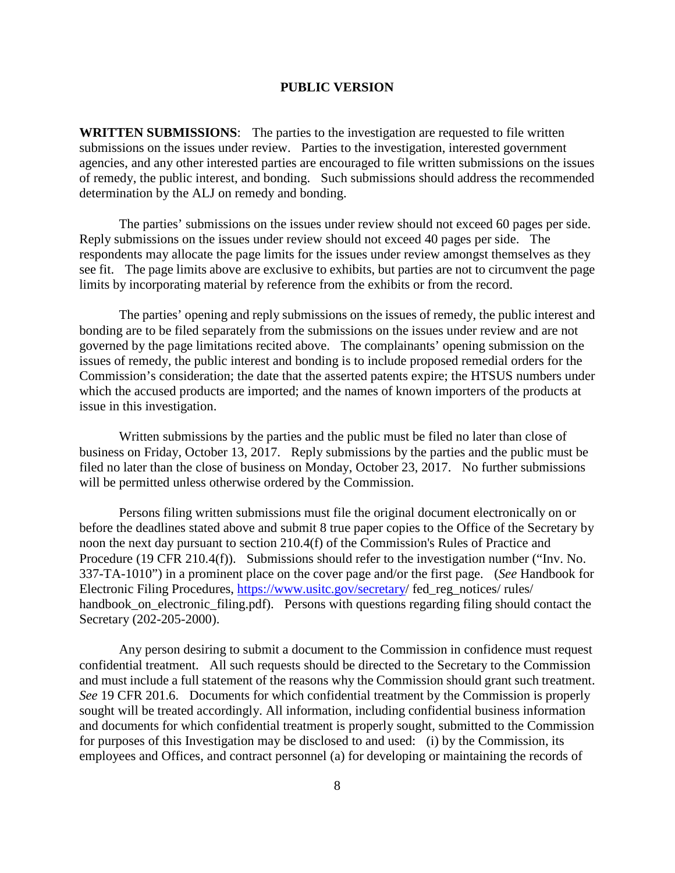**WRITTEN SUBMISSIONS**:The parties to the investigation are requested to file written submissions on the issues under review. Parties to the investigation, interested government agencies, and any other interested parties are encouraged to file written submissions on the issues of remedy, the public interest, and bonding. Such submissions should address the recommended determination by the ALJ on remedy and bonding.

The parties' submissions on the issues under review should not exceed 60 pages per side. Reply submissions on the issues under review should not exceed 40 pages per side. The respondents may allocate the page limits for the issues under review amongst themselves as they see fit. The page limits above are exclusive to exhibits, but parties are not to circumvent the page limits by incorporating material by reference from the exhibits or from the record.

The parties' opening and reply submissions on the issues of remedy, the public interest and bonding are to be filed separately from the submissions on the issues under review and are not governed by the page limitations recited above. The complainants' opening submission on the issues of remedy, the public interest and bonding is to include proposed remedial orders for the Commission's consideration; the date that the asserted patents expire; the HTSUS numbers under which the accused products are imported; and the names of known importers of the products at issue in this investigation.

Written submissions by the parties and the public must be filed no later than close of business on Friday, October 13, 2017. Reply submissions by the parties and the public must be filed no later than the close of business on Monday, October 23, 2017. No further submissions will be permitted unless otherwise ordered by the Commission.

Persons filing written submissions must file the original document electronically on or before the deadlines stated above and submit 8 true paper copies to the Office of the Secretary by noon the next day pursuant to section 210.4(f) of the Commission's Rules of Practice and Procedure (19 CFR 210.4(f)). Submissions should refer to the investigation number ("Inv. No. 337-TA-1010") in a prominent place on the cover page and/or the first page. (*See* Handbook for Electronic Filing Procedures, [https://www.usitc.gov/secretary/](https://www.usitc.gov/secretary) fed\_reg\_notices/ rules/ handbook on electronic filing.pdf). Persons with questions regarding filing should contact the Secretary (202-205-2000).

Any person desiring to submit a document to the Commission in confidence must request confidential treatment. All such requests should be directed to the Secretary to the Commission and must include a full statement of the reasons why the Commission should grant such treatment. *See* 19 CFR 201.6. Documents for which confidential treatment by the Commission is properly sought will be treated accordingly. All information, including confidential business information and documents for which confidential treatment is properly sought, submitted to the Commission for purposes of this Investigation may be disclosed to and used: (i) by the Commission, its employees and Offices, and contract personnel (a) for developing or maintaining the records of